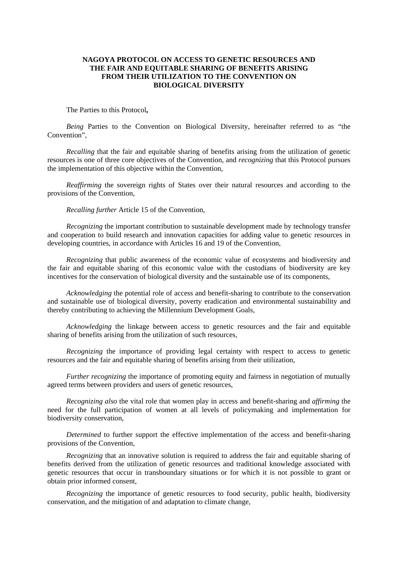# **NAGOYA PROTOCOL ON ACCESS TO GENETIC RESOURCES AND THE FAIR AND EQUITABLE SHARING OF BENEFITS ARISING FROM THEIR UTILIZATION TO THE CONVENTION ON BIOLOGICAL DIVERSITY**

The Parties to this Protocol**,** 

*Being* Parties to the Convention on Biological Diversity, hereinafter referred to as "the Convention",

*Recalling* that the fair and equitable sharing of benefits arising from the utilization of genetic resources is one of three core objectives of the Convention, and *recognizing* that this Protocol pursues the implementation of this objective within the Convention,

*Reaffirming* the sovereign rights of States over their natural resources and according to the provisions of the Convention,

*Recalling further* Article 15 of the Convention,

*Recognizing* the important contribution to sustainable development made by technology transfer and cooperation to build research and innovation capacities for adding value to genetic resources in developing countries, in accordance with Articles 16 and 19 of the Convention,

*Recognizing* that public awareness of the economic value of ecosystems and biodiversity and the fair and equitable sharing of this economic value with the custodians of biodiversity are key incentives for the conservation of biological diversity and the sustainable use of its components,

*Acknowledging* the potential role of access and benefit-sharing to contribute to the conservation and sustainable use of biological diversity, poverty eradication and environmental sustainability and thereby contributing to achieving the Millennium Development Goals,

*Acknowledging* the linkage between access to genetic resources and the fair and equitable sharing of benefits arising from the utilization of such resources,

*Recognizing* the importance of providing legal certainty with respect to access to genetic resources and the fair and equitable sharing of benefits arising from their utilization,

*Further recognizing* the importance of promoting equity and fairness in negotiation of mutually agreed terms between providers and users of genetic resources,

*Recognizing also* the vital role that women play in access and benefit-sharing and *affirming* the need for the full participation of women at all levels of policymaking and implementation for biodiversity conservation,

*Determined* to further support the effective implementation of the access and benefit-sharing provisions of the Convention,

*Recognizing* that an innovative solution is required to address the fair and equitable sharing of benefits derived from the utilization of genetic resources and traditional knowledge associated with genetic resources that occur in transboundary situations or for which it is not possible to grant or obtain prior informed consent,

*Recognizing* the importance of genetic resources to food security, public health, biodiversity conservation, and the mitigation of and adaptation to climate change,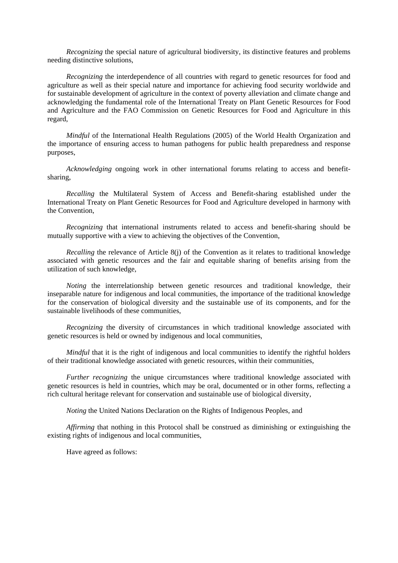*Recognizing* the special nature of agricultural biodiversity, its distinctive features and problems needing distinctive solutions,

*Recognizing* the interdependence of all countries with regard to genetic resources for food and agriculture as well as their special nature and importance for achieving food security worldwide and for sustainable development of agriculture in the context of poverty alleviation and climate change and acknowledging the fundamental role of the International Treaty on Plant Genetic Resources for Food and Agriculture and the FAO Commission on Genetic Resources for Food and Agriculture in this regard,

*Mindful* of the International Health Regulations (2005) of the World Health Organization and the importance of ensuring access to human pathogens for public health preparedness and response purposes,

*Acknowledging* ongoing work in other international forums relating to access and benefitsharing,

*Recalling* the Multilateral System of Access and Benefit-sharing established under the International Treaty on Plant Genetic Resources for Food and Agriculture developed in harmony with the Convention,

*Recognizing* that international instruments related to access and benefit-sharing should be mutually supportive with a view to achieving the objectives of the Convention,

*Recalling* the relevance of Article 8(j) of the Convention as it relates to traditional knowledge associated with genetic resources and the fair and equitable sharing of benefits arising from the utilization of such knowledge,

*Noting* the interrelationship between genetic resources and traditional knowledge, their inseparable nature for indigenous and local communities, the importance of the traditional knowledge for the conservation of biological diversity and the sustainable use of its components, and for the sustainable livelihoods of these communities,

*Recognizing* the diversity of circumstances in which traditional knowledge associated with genetic resources is held or owned by indigenous and local communities,

*Mindful* that it is the right of indigenous and local communities to identify the rightful holders of their traditional knowledge associated with genetic resources, within their communities,

*Further recognizing* the unique circumstances where traditional knowledge associated with genetic resources is held in countries, which may be oral, documented or in other forms, reflecting a rich cultural heritage relevant for conservation and sustainable use of biological diversity,

*Noting* the United Nations Declaration on the Rights of Indigenous Peoples, and

*Affirming* that nothing in this Protocol shall be construed as diminishing or extinguishing the existing rights of indigenous and local communities,

Have agreed as follows: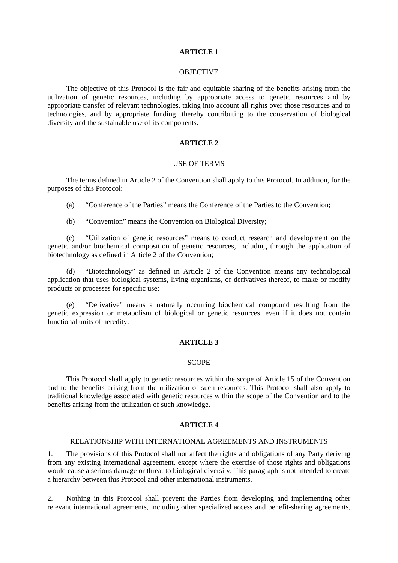### **OBJECTIVE**

The objective of this Protocol is the fair and equitable sharing of the benefits arising from the utilization of genetic resources, including by appropriate access to genetic resources and by appropriate transfer of relevant technologies, taking into account all rights over those resources and to technologies, and by appropriate funding, thereby contributing to the conservation of biological diversity and the sustainable use of its components.

### **ARTICLE 2**

#### USE OF TERMS

The terms defined in Article 2 of the Convention shall apply to this Protocol. In addition, for the purposes of this Protocol:

(a) "Conference of the Parties" means the Conference of the Parties to the Convention;

(b) "Convention" means the Convention on Biological Diversity;

(c) "Utilization of genetic resources" means to conduct research and development on the genetic and/or biochemical composition of genetic resources, including through the application of biotechnology as defined in Article 2 of the Convention;

(d) "Biotechnology" as defined in Article 2 of the Convention means any technological application that uses biological systems, living organisms, or derivatives thereof, to make or modify products or processes for specific use;

(e) "Derivative" means a naturally occurring biochemical compound resulting from the genetic expression or metabolism of biological or genetic resources, even if it does not contain functional units of heredity.

# **ARTICLE 3**

# **SCOPE**

This Protocol shall apply to genetic resources within the scope of Article 15 of the Convention and to the benefits arising from the utilization of such resources. This Protocol shall also apply to traditional knowledge associated with genetic resources within the scope of the Convention and to the benefits arising from the utilization of such knowledge.

#### **ARTICLE 4**

#### RELATIONSHIP WITH INTERNATIONAL AGREEMENTS AND INSTRUMENTS

1. The provisions of this Protocol shall not affect the rights and obligations of any Party deriving from any existing international agreement, except where the exercise of those rights and obligations would cause a serious damage or threat to biological diversity. This paragraph is not intended to create a hierarchy between this Protocol and other international instruments.

2. Nothing in this Protocol shall prevent the Parties from developing and implementing other relevant international agreements, including other specialized access and benefit-sharing agreements,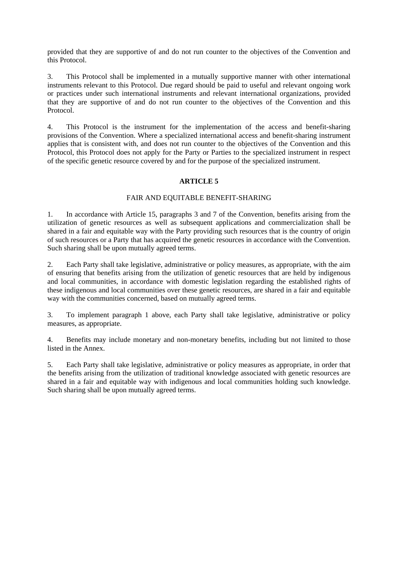provided that they are supportive of and do not run counter to the objectives of the Convention and this Protocol.

3. This Protocol shall be implemented in a mutually supportive manner with other international instruments relevant to this Protocol. Due regard should be paid to useful and relevant ongoing work or practices under such international instruments and relevant international organizations, provided that they are supportive of and do not run counter to the objectives of the Convention and this Protocol.

4. This Protocol is the instrument for the implementation of the access and benefit-sharing provisions of the Convention. Where a specialized international access and benefit-sharing instrument applies that is consistent with, and does not run counter to the objectives of the Convention and this Protocol, this Protocol does not apply for the Party or Parties to the specialized instrument in respect of the specific genetic resource covered by and for the purpose of the specialized instrument.

# **ARTICLE 5**

# FAIR AND EQUITABLE BENEFIT-SHARING

1. In accordance with Article 15, paragraphs 3 and 7 of the Convention, benefits arising from the utilization of genetic resources as well as subsequent applications and commercialization shall be shared in a fair and equitable way with the Party providing such resources that is the country of origin of such resources or a Party that has acquired the genetic resources in accordance with the Convention. Such sharing shall be upon mutually agreed terms.

2. Each Party shall take legislative, administrative or policy measures, as appropriate, with the aim of ensuring that benefits arising from the utilization of genetic resources that are held by indigenous and local communities, in accordance with domestic legislation regarding the established rights of these indigenous and local communities over these genetic resources, are shared in a fair and equitable way with the communities concerned, based on mutually agreed terms.

3. To implement paragraph 1 above, each Party shall take legislative, administrative or policy measures, as appropriate.

4. Benefits may include monetary and non-monetary benefits, including but not limited to those listed in the Annex.

5. Each Party shall take legislative, administrative or policy measures as appropriate, in order that the benefits arising from the utilization of traditional knowledge associated with genetic resources are shared in a fair and equitable way with indigenous and local communities holding such knowledge. Such sharing shall be upon mutually agreed terms.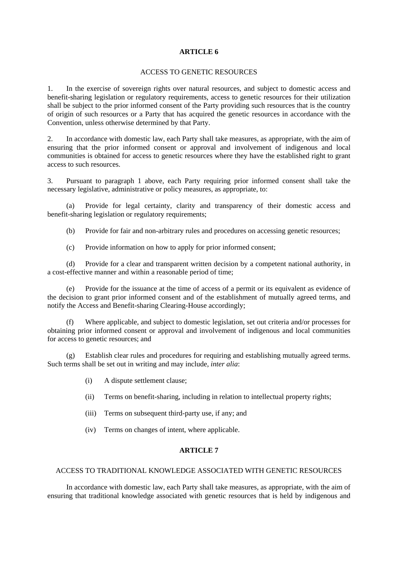## ACCESS TO GENETIC RESOURCES

1. In the exercise of sovereign rights over natural resources, and subject to domestic access and benefit-sharing legislation or regulatory requirements, access to genetic resources for their utilization shall be subject to the prior informed consent of the Party providing such resources that is the country of origin of such resources or a Party that has acquired the genetic resources in accordance with the Convention, unless otherwise determined by that Party.

2. In accordance with domestic law, each Party shall take measures, as appropriate, with the aim of ensuring that the prior informed consent or approval and involvement of indigenous and local communities is obtained for access to genetic resources where they have the established right to grant access to such resources.

3. Pursuant to paragraph 1 above, each Party requiring prior informed consent shall take the necessary legislative, administrative or policy measures, as appropriate, to:

(a) Provide for legal certainty, clarity and transparency of their domestic access and benefit-sharing legislation or regulatory requirements;

(b) Provide for fair and non-arbitrary rules and procedures on accessing genetic resources;

(c) Provide information on how to apply for prior informed consent;

(d) Provide for a clear and transparent written decision by a competent national authority, in a cost-effective manner and within a reasonable period of time;

(e) Provide for the issuance at the time of access of a permit or its equivalent as evidence of the decision to grant prior informed consent and of the establishment of mutually agreed terms, and notify the Access and Benefit-sharing Clearing-House accordingly;

(f) Where applicable, and subject to domestic legislation, set out criteria and/or processes for obtaining prior informed consent or approval and involvement of indigenous and local communities for access to genetic resources; and

(g) Establish clear rules and procedures for requiring and establishing mutually agreed terms. Such terms shall be set out in writing and may include, *inter alia*:

- (i) A dispute settlement clause;
- (ii) Terms on benefit-sharing, including in relation to intellectual property rights;
- (iii) Terms on subsequent third-party use, if any; and
- (iv) Terms on changes of intent, where applicable.

# **ARTICLE 7**

# ACCESS TO TRADITIONAL KNOWLEDGE ASSOCIATED WITH GENETIC RESOURCES

 In accordance with domestic law, each Party shall take measures, as appropriate, with the aim of ensuring that traditional knowledge associated with genetic resources that is held by indigenous and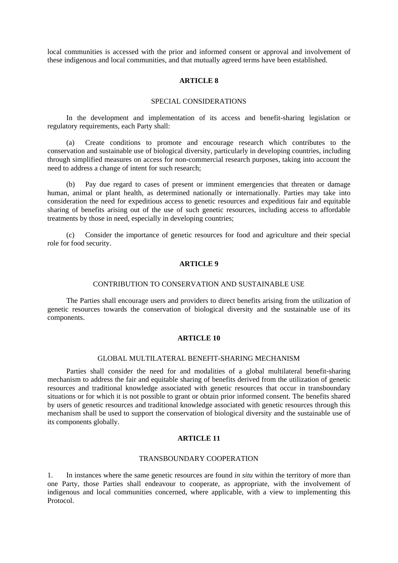local communities is accessed with the prior and informed consent or approval and involvement of these indigenous and local communities, and that mutually agreed terms have been established.

#### **ARTICLE 8**

### SPECIAL CONSIDERATIONS

 In the development and implementation of its access and benefit-sharing legislation or regulatory requirements, each Party shall:

(a) Create conditions to promote and encourage research which contributes to the conservation and sustainable use of biological diversity, particularly in developing countries, including through simplified measures on access for non-commercial research purposes, taking into account the need to address a change of intent for such research;

(b) Pay due regard to cases of present or imminent emergencies that threaten or damage human, animal or plant health, as determined nationally or internationally. Parties may take into consideration the need for expeditious access to genetic resources and expeditious fair and equitable sharing of benefits arising out of the use of such genetic resources, including access to affordable treatments by those in need, especially in developing countries;

(c) Consider the importance of genetic resources for food and agriculture and their special role for food security.

#### **ARTICLE 9**

### CONTRIBUTION TO CONSERVATION AND SUSTAINABLE USE

The Parties shall encourage users and providers to direct benefits arising from the utilization of genetic resources towards the conservation of biological diversity and the sustainable use of its components.

#### **ARTICLE 10**

### GLOBAL MULTILATERAL BENEFIT-SHARING MECHANISM

Parties shall consider the need for and modalities of a global multilateral benefit-sharing mechanism to address the fair and equitable sharing of benefits derived from the utilization of genetic resources and traditional knowledge associated with genetic resources that occur in transboundary situations or for which it is not possible to grant or obtain prior informed consent. The benefits shared by users of genetic resources and traditional knowledge associated with genetic resources through this mechanism shall be used to support the conservation of biological diversity and the sustainable use of its components globally.

## **ARTICLE 11**

# TRANSBOUNDARY COOPERATION

1. In instances where the same genetic resources are found *in situ* within the territory of more than one Party, those Parties shall endeavour to cooperate, as appropriate, with the involvement of indigenous and local communities concerned, where applicable, with a view to implementing this Protocol.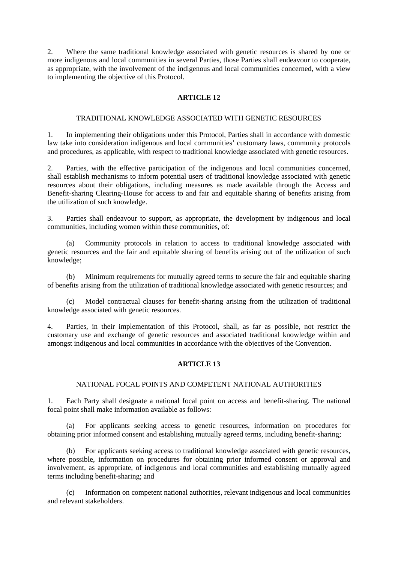2. Where the same traditional knowledge associated with genetic resources is shared by one or more indigenous and local communities in several Parties, those Parties shall endeavour to cooperate, as appropriate, with the involvement of the indigenous and local communities concerned, with a view to implementing the objective of this Protocol.

# **ARTICLE 12**

# TRADITIONAL KNOWLEDGE ASSOCIATED WITH GENETIC RESOURCES

1. In implementing their obligations under this Protocol, Parties shall in accordance with domestic law take into consideration indigenous and local communities' customary laws, community protocols and procedures, as applicable, with respect to traditional knowledge associated with genetic resources.

2. Parties, with the effective participation of the indigenous and local communities concerned, shall establish mechanisms to inform potential users of traditional knowledge associated with genetic resources about their obligations, including measures as made available through the Access and Benefit-sharing Clearing-House for access to and fair and equitable sharing of benefits arising from the utilization of such knowledge.

3. Parties shall endeavour to support, as appropriate, the development by indigenous and local communities, including women within these communities, of:

(a) Community protocols in relation to access to traditional knowledge associated with genetic resources and the fair and equitable sharing of benefits arising out of the utilization of such knowledge;

(b) Minimum requirements for mutually agreed terms to secure the fair and equitable sharing of benefits arising from the utilization of traditional knowledge associated with genetic resources; and

(c) Model contractual clauses for benefit-sharing arising from the utilization of traditional knowledge associated with genetic resources.

4. Parties, in their implementation of this Protocol, shall, as far as possible, not restrict the customary use and exchange of genetic resources and associated traditional knowledge within and amongst indigenous and local communities in accordance with the objectives of the Convention.

# **ARTICLE 13**

# NATIONAL FOCAL POINTS AND COMPETENT NATIONAL AUTHORITIES

1. Each Party shall designate a national focal point on access and benefit-sharing. The national focal point shall make information available as follows:

(a) For applicants seeking access to genetic resources, information on procedures for obtaining prior informed consent and establishing mutually agreed terms, including benefit-sharing;

(b) For applicants seeking access to traditional knowledge associated with genetic resources, where possible, information on procedures for obtaining prior informed consent or approval and involvement, as appropriate, of indigenous and local communities and establishing mutually agreed terms including benefit-sharing; and

(c) Information on competent national authorities, relevant indigenous and local communities and relevant stakeholders.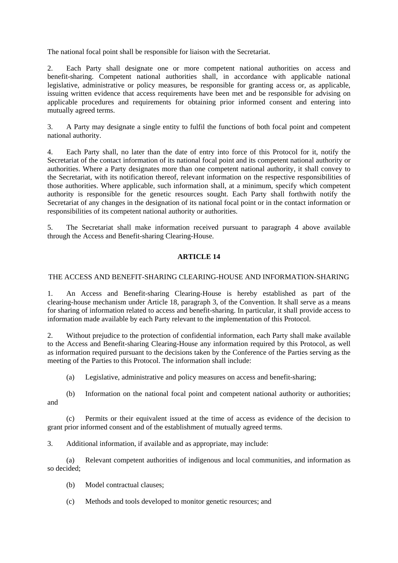The national focal point shall be responsible for liaison with the Secretariat.

2. Each Party shall designate one or more competent national authorities on access and benefit-sharing. Competent national authorities shall, in accordance with applicable national legislative, administrative or policy measures, be responsible for granting access or, as applicable, issuing written evidence that access requirements have been met and be responsible for advising on applicable procedures and requirements for obtaining prior informed consent and entering into mutually agreed terms.

3. A Party may designate a single entity to fulfil the functions of both focal point and competent national authority.

4. Each Party shall, no later than the date of entry into force of this Protocol for it, notify the Secretariat of the contact information of its national focal point and its competent national authority or authorities. Where a Party designates more than one competent national authority, it shall convey to the Secretariat, with its notification thereof, relevant information on the respective responsibilities of those authorities. Where applicable, such information shall, at a minimum, specify which competent authority is responsible for the genetic resources sought. Each Party shall forthwith notify the Secretariat of any changes in the designation of its national focal point or in the contact information or responsibilities of its competent national authority or authorities.

5. The Secretariat shall make information received pursuant to paragraph 4 above available through the Access and Benefit-sharing Clearing-House.

# **ARTICLE 14**

# THE ACCESS AND BENEFIT-SHARING CLEARING-HOUSE AND INFORMATION-SHARING

1. An Access and Benefit-sharing Clearing-House is hereby established as part of the clearing-house mechanism under Article 18, paragraph 3, of the Convention. It shall serve as a means for sharing of information related to access and benefit-sharing. In particular, it shall provide access to information made available by each Party relevant to the implementation of this Protocol.

2. Without prejudice to the protection of confidential information, each Party shall make available to the Access and Benefit-sharing Clearing-House any information required by this Protocol, as well as information required pursuant to the decisions taken by the Conference of the Parties serving as the meeting of the Parties to this Protocol. The information shall include:

(a) Legislative, administrative and policy measures on access and benefit-sharing;

(b) Information on the national focal point and competent national authority or authorities; and

(c) Permits or their equivalent issued at the time of access as evidence of the decision to grant prior informed consent and of the establishment of mutually agreed terms.

3. Additional information, if available and as appropriate, may include:

(a) Relevant competent authorities of indigenous and local communities, and information as so decided;

- (b) Model contractual clauses;
- (c) Methods and tools developed to monitor genetic resources; and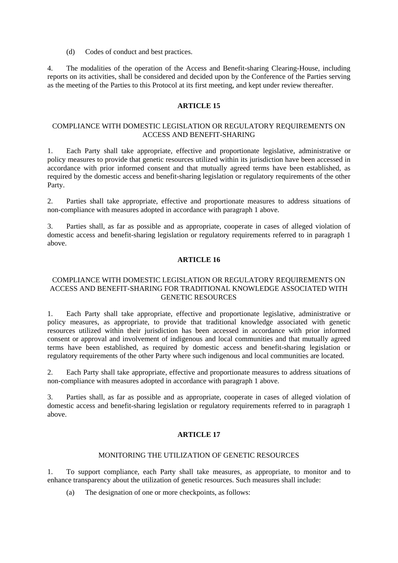(d) Codes of conduct and best practices.

4. The modalities of the operation of the Access and Benefit-sharing Clearing-House, including reports on its activities, shall be considered and decided upon by the Conference of the Parties serving as the meeting of the Parties to this Protocol at its first meeting, and kept under review thereafter.

# **ARTICLE 15**

# COMPLIANCE WITH DOMESTIC LEGISLATION OR REGULATORY REQUIREMENTS ON ACCESS AND BENEFIT-SHARING

1. Each Party shall take appropriate, effective and proportionate legislative, administrative or policy measures to provide that genetic resources utilized within its jurisdiction have been accessed in accordance with prior informed consent and that mutually agreed terms have been established, as required by the domestic access and benefit-sharing legislation or regulatory requirements of the other Party.

2. Parties shall take appropriate, effective and proportionate measures to address situations of non-compliance with measures adopted in accordance with paragraph 1 above.

3. Parties shall, as far as possible and as appropriate, cooperate in cases of alleged violation of domestic access and benefit-sharing legislation or regulatory requirements referred to in paragraph 1 above.

# **ARTICLE 16**

# COMPLIANCE WITH DOMESTIC LEGISLATION OR REGULATORY REQUIREMENTS ON ACCESS AND BENEFIT-SHARING FOR TRADITIONAL KNOWLEDGE ASSOCIATED WITH GENETIC RESOURCES

1. Each Party shall take appropriate, effective and proportionate legislative, administrative or policy measures, as appropriate, to provide that traditional knowledge associated with genetic resources utilized within their jurisdiction has been accessed in accordance with prior informed consent or approval and involvement of indigenous and local communities and that mutually agreed terms have been established, as required by domestic access and benefit-sharing legislation or regulatory requirements of the other Party where such indigenous and local communities are located.

2. Each Party shall take appropriate, effective and proportionate measures to address situations of non-compliance with measures adopted in accordance with paragraph 1 above.

3. Parties shall, as far as possible and as appropriate, cooperate in cases of alleged violation of domestic access and benefit-sharing legislation or regulatory requirements referred to in paragraph 1 above.

# **ARTICLE 17**

# MONITORING THE UTILIZATION OF GENETIC RESOURCES

1. To support compliance, each Party shall take measures, as appropriate, to monitor and to enhance transparency about the utilization of genetic resources. Such measures shall include:

(a) The designation of one or more checkpoints, as follows: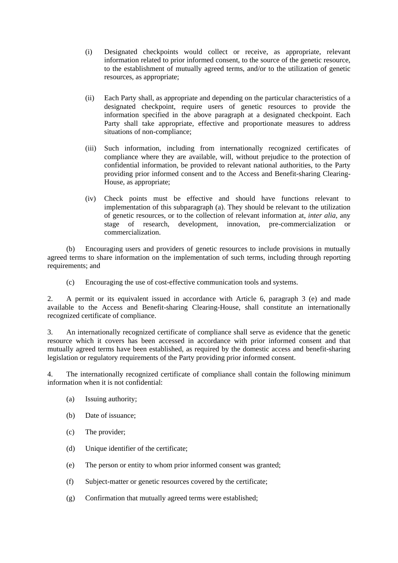- (i) Designated checkpoints would collect or receive, as appropriate, relevant information related to prior informed consent, to the source of the genetic resource, to the establishment of mutually agreed terms, and/or to the utilization of genetic resources, as appropriate;
- (ii) Each Party shall, as appropriate and depending on the particular characteristics of a designated checkpoint, require users of genetic resources to provide the information specified in the above paragraph at a designated checkpoint. Each Party shall take appropriate, effective and proportionate measures to address situations of non-compliance;
- (iii) Such information, including from internationally recognized certificates of compliance where they are available, will, without prejudice to the protection of confidential information, be provided to relevant national authorities, to the Party providing prior informed consent and to the Access and Benefit-sharing Clearing-House, as appropriate;
- (iv) Check points must be effective and should have functions relevant to implementation of this subparagraph (a). They should be relevant to the utilization of genetic resources, or to the collection of relevant information at, *inter alia*, any stage of research, development, innovation, pre-commercialization or commercialization.

(b) Encouraging users and providers of genetic resources to include provisions in mutually agreed terms to share information on the implementation of such terms, including through reporting requirements; and

(c) Encouraging the use of cost-effective communication tools and systems.

2. A permit or its equivalent issued in accordance with Article 6, paragraph 3 (e) and made available to the Access and Benefit-sharing Clearing-House, shall constitute an internationally recognized certificate of compliance.

3. An internationally recognized certificate of compliance shall serve as evidence that the genetic resource which it covers has been accessed in accordance with prior informed consent and that mutually agreed terms have been established, as required by the domestic access and benefit-sharing legislation or regulatory requirements of the Party providing prior informed consent.

4. The internationally recognized certificate of compliance shall contain the following minimum information when it is not confidential:

- (a) Issuing authority;
- (b) Date of issuance;
- (c) The provider;
- (d) Unique identifier of the certificate;
- (e) The person or entity to whom prior informed consent was granted;
- (f) Subject-matter or genetic resources covered by the certificate;
- (g) Confirmation that mutually agreed terms were established;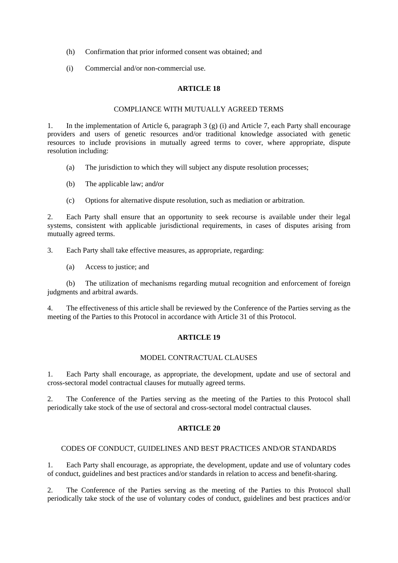- (h) Confirmation that prior informed consent was obtained; and
- (i) Commercial and/or non-commercial use.

### COMPLIANCE WITH MUTUALLY AGREED TERMS

1. In the implementation of Article 6, paragraph 3 (g) (i) and Article 7, each Party shall encourage providers and users of genetic resources and/or traditional knowledge associated with genetic resources to include provisions in mutually agreed terms to cover, where appropriate, dispute resolution including:

- (a) The jurisdiction to which they will subject any dispute resolution processes;
- (b) The applicable law; and**/**or
- (c) Options for alternative dispute resolution, such as mediation or arbitration.

2. Each Party shall ensure that an opportunity to seek recourse is available under their legal systems, consistent with applicable jurisdictional requirements, in cases of disputes arising from mutually agreed terms.

3. Each Party shall take effective measures, as appropriate, regarding:

(a) Access to justice; and

(b) The utilization of mechanisms regarding mutual recognition and enforcement of foreign judgments and arbitral awards.

4. The effectiveness of this article shall be reviewed by the Conference of the Parties serving as the meeting of the Parties to this Protocol in accordance with Article 31 of this Protocol.

# **ARTICLE 19**

### MODEL CONTRACTUAL CLAUSES

1. Each Party shall encourage, as appropriate, the development, update and use of sectoral and cross-sectoral model contractual clauses for mutually agreed terms.

2. The Conference of the Parties serving as the meeting of the Parties to this Protocol shall periodically take stock of the use of sectoral and cross-sectoral model contractual clauses.

# **ARTICLE 20**

#### CODES OF CONDUCT, GUIDELINES AND BEST PRACTICES AND/OR STANDARDS

1. Each Party shall encourage, as appropriate, the development, update and use of voluntary codes of conduct, guidelines and best practices and/or standards in relation to access and benefit-sharing.

2. The Conference of the Parties serving as the meeting of the Parties to this Protocol shall periodically take stock of the use of voluntary codes of conduct, guidelines and best practices and/or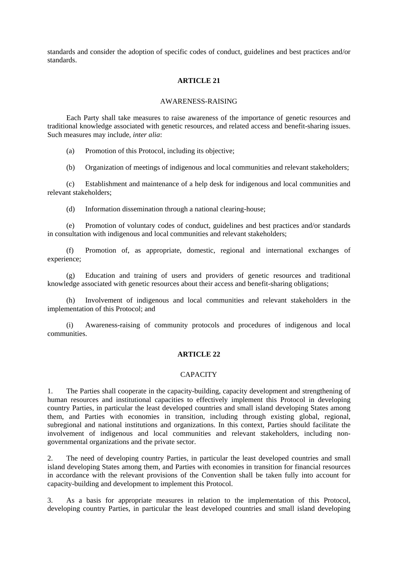standards and consider the adoption of specific codes of conduct, guidelines and best practices and/or standards.

## **ARTICLE 21**

### AWARENESS-RAISING

Each Party shall take measures to raise awareness of the importance of genetic resources and traditional knowledge associated with genetic resources, and related access and benefit-sharing issues. Such measures may include, *inter alia*:

(a) Promotion of this Protocol, including its objective;

(b) Organization of meetings of indigenous and local communities and relevant stakeholders;

(c) Establishment and maintenance of a help desk for indigenous and local communities and relevant stakeholders;

(d) Information dissemination through a national clearing-house;

(e) Promotion of voluntary codes of conduct, guidelines and best practices and/or standards in consultation with indigenous and local communities and relevant stakeholders;

(f) Promotion of, as appropriate, domestic, regional and international exchanges of experience;

(g) Education and training of users and providers of genetic resources and traditional knowledge associated with genetic resources about their access and benefit-sharing obligations;

(h) Involvement of indigenous and local communities and relevant stakeholders in the implementation of this Protocol; and

(i) Awareness-raising of community protocols and procedures of indigenous and local communities.

### **ARTICLE 22**

### **CAPACITY**

1. The Parties shall cooperate in the capacity-building, capacity development and strengthening of human resources and institutional capacities to effectively implement this Protocol in developing country Parties, in particular the least developed countries and small island developing States among them, and Parties with economies in transition, including through existing global, regional, subregional and national institutions and organizations. In this context, Parties should facilitate the involvement of indigenous and local communities and relevant stakeholders, including nongovernmental organizations and the private sector.

2. The need of developing country Parties, in particular the least developed countries and small island developing States among them, and Parties with economies in transition for financial resources in accordance with the relevant provisions of the Convention shall be taken fully into account for capacity-building and development to implement this Protocol.

3. As a basis for appropriate measures in relation to the implementation of this Protocol, developing country Parties, in particular the least developed countries and small island developing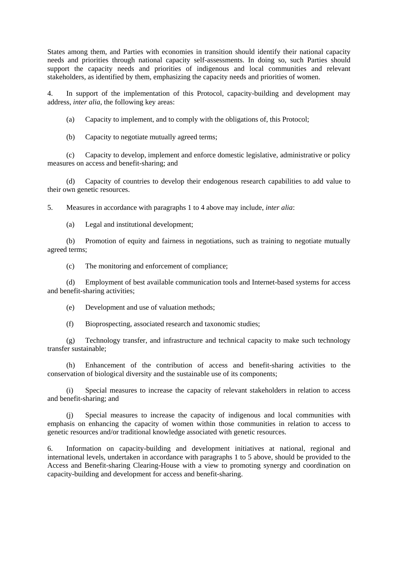States among them, and Parties with economies in transition should identify their national capacity needs and priorities through national capacity self-assessments. In doing so, such Parties should support the capacity needs and priorities of indigenous and local communities and relevant stakeholders, as identified by them, emphasizing the capacity needs and priorities of women.

4. In support of the implementation of this Protocol, capacity-building and development may address, *inter alia*, the following key areas:

(a) Capacity to implement, and to comply with the obligations of, this Protocol;

(b) Capacity to negotiate mutually agreed terms;

(c) Capacity to develop, implement and enforce domestic legislative, administrative or policy measures on access and benefit-sharing; and

(d) Capacity of countries to develop their endogenous research capabilities to add value to their own genetic resources.

5. Measures in accordance with paragraphs 1 to 4 above may include, *inter alia*:

(a) Legal and institutional development;

(b) Promotion of equity and fairness in negotiations, such as training to negotiate mutually agreed terms;

(c) The monitoring and enforcement of compliance;

(d) Employment of best available communication tools and Internet-based systems for access and benefit-sharing activities;

(e) Development and use of valuation methods;

(f) Bioprospecting, associated research and taxonomic studies;

(g) Technology transfer, and infrastructure and technical capacity to make such technology transfer sustainable;

(h) Enhancement of the contribution of access and benefit-sharing activities to the conservation of biological diversity and the sustainable use of its components;

(i) Special measures to increase the capacity of relevant stakeholders in relation to access and benefit-sharing; and

(j) Special measures to increase the capacity of indigenous and local communities with emphasis on enhancing the capacity of women within those communities in relation to access to genetic resources and/or traditional knowledge associated with genetic resources.

6. Information on capacity-building and development initiatives at national, regional and international levels, undertaken in accordance with paragraphs 1 to 5 above, should be provided to the Access and Benefit-sharing Clearing-House with a view to promoting synergy and coordination on capacity-building and development for access and benefit-sharing.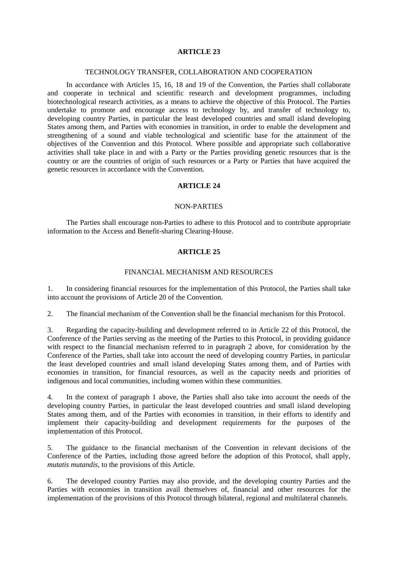#### TECHNOLOGY TRANSFER, COLLABORATION AND COOPERATION

In accordance with Articles 15, 16, 18 and 19 of the Convention, the Parties shall collaborate and cooperate in technical and scientific research and development programmes, including biotechnological research activities, as a means to achieve the objective of this Protocol. The Parties undertake to promote and encourage access to technology by, and transfer of technology to, developing country Parties, in particular the least developed countries and small island developing States among them, and Parties with economies in transition, in order to enable the development and strengthening of a sound and viable technological and scientific base for the attainment of the objectives of the Convention and this Protocol. Where possible and appropriate such collaborative activities shall take place in and with a Party or the Parties providing genetic resources that is the country or are the countries of origin of such resources or a Party or Parties that have acquired the genetic resources in accordance with the Convention.

#### **ARTICLE 24**

#### NON-PARTIES

 The Parties shall encourage non-Parties to adhere to this Protocol and to contribute appropriate information to the Access and Benefit-sharing Clearing-House.

# **ARTICLE 25**

#### FINANCIAL MECHANISM AND RESOURCES

1. In considering financial resources for the implementation of this Protocol, the Parties shall take into account the provisions of Article 20 of the Convention.

2. The financial mechanism of the Convention shall be the financial mechanism for this Protocol.

3. Regarding the capacity-building and development referred to in Article 22 of this Protocol, the Conference of the Parties serving as the meeting of the Parties to this Protocol, in providing guidance with respect to the financial mechanism referred to in paragraph 2 above, for consideration by the Conference of the Parties, shall take into account the need of developing country Parties, in particular the least developed countries and small island developing States among them, and of Parties with economies in transition, for financial resources, as well as the capacity needs and priorities of indigenous and local communities, including women within these communities.

4. In the context of paragraph 1 above, the Parties shall also take into account the needs of the developing country Parties, in particular the least developed countries and small island developing States among them, and of the Parties with economies in transition, in their efforts to identify and implement their capacity-building and development requirements for the purposes of the implementation of this Protocol.

5. The guidance to the financial mechanism of the Convention in relevant decisions of the Conference of the Parties, including those agreed before the adoption of this Protocol, shall apply, *mutatis mutandis*, to the provisions of this Article.

6. The developed country Parties may also provide, and the developing country Parties and the Parties with economies in transition avail themselves of, financial and other resources for the implementation of the provisions of this Protocol through bilateral, regional and multilateral channels.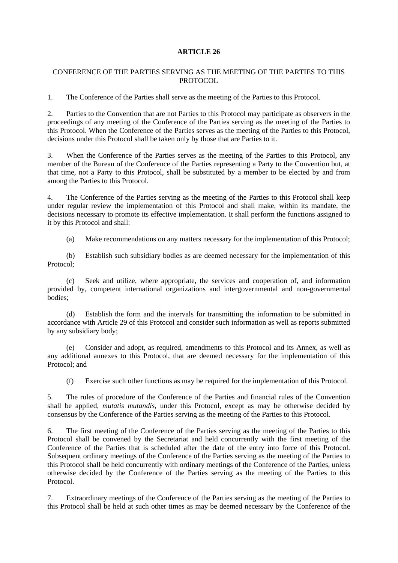# CONFERENCE OF THE PARTIES SERVING AS THE MEETING OF THE PARTIES TO THIS PROTOCOL.

1. The Conference of the Parties shall serve as the meeting of the Parties to this Protocol.

2. Parties to the Convention that are not Parties to this Protocol may participate as observers in the proceedings of any meeting of the Conference of the Parties serving as the meeting of the Parties to this Protocol. When the Conference of the Parties serves as the meeting of the Parties to this Protocol, decisions under this Protocol shall be taken only by those that are Parties to it.

3. When the Conference of the Parties serves as the meeting of the Parties to this Protocol, any member of the Bureau of the Conference of the Parties representing a Party to the Convention but, at that time, not a Party to this Protocol, shall be substituted by a member to be elected by and from among the Parties to this Protocol.

4. The Conference of the Parties serving as the meeting of the Parties to this Protocol shall keep under regular review the implementation of this Protocol and shall make, within its mandate, the decisions necessary to promote its effective implementation. It shall perform the functions assigned to it by this Protocol and shall:

(a) Make recommendations on any matters necessary for the implementation of this Protocol;

(b) Establish such subsidiary bodies as are deemed necessary for the implementation of this Protocol;

(c) Seek and utilize, where appropriate, the services and cooperation of, and information provided by, competent international organizations and intergovernmental and non-governmental bodies;

(d) Establish the form and the intervals for transmitting the information to be submitted in accordance with Article 29 of this Protocol and consider such information as well as reports submitted by any subsidiary body;

(e) Consider and adopt, as required, amendments to this Protocol and its Annex, as well as any additional annexes to this Protocol, that are deemed necessary for the implementation of this Protocol; and

(f) Exercise such other functions as may be required for the implementation of this Protocol.

5. The rules of procedure of the Conference of the Parties and financial rules of the Convention shall be applied, *mutatis mutandis*, under this Protocol, except as may be otherwise decided by consensus by the Conference of the Parties serving as the meeting of the Parties to this Protocol.

6. The first meeting of the Conference of the Parties serving as the meeting of the Parties to this Protocol shall be convened by the Secretariat and held concurrently with the first meeting of the Conference of the Parties that is scheduled after the date of the entry into force of this Protocol. Subsequent ordinary meetings of the Conference of the Parties serving as the meeting of the Parties to this Protocol shall be held concurrently with ordinary meetings of the Conference of the Parties, unless otherwise decided by the Conference of the Parties serving as the meeting of the Parties to this Protocol.

7. Extraordinary meetings of the Conference of the Parties serving as the meeting of the Parties to this Protocol shall be held at such other times as may be deemed necessary by the Conference of the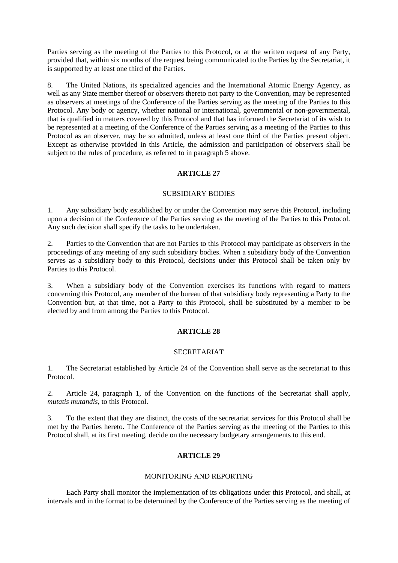Parties serving as the meeting of the Parties to this Protocol, or at the written request of any Party, provided that, within six months of the request being communicated to the Parties by the Secretariat, it is supported by at least one third of the Parties.

8. The United Nations, its specialized agencies and the International Atomic Energy Agency, as well as any State member thereof or observers thereto not party to the Convention, may be represented as observers at meetings of the Conference of the Parties serving as the meeting of the Parties to this Protocol. Any body or agency, whether national or international, governmental or non-governmental, that is qualified in matters covered by this Protocol and that has informed the Secretariat of its wish to be represented at a meeting of the Conference of the Parties serving as a meeting of the Parties to this Protocol as an observer, may be so admitted, unless at least one third of the Parties present object. Except as otherwise provided in this Article, the admission and participation of observers shall be subject to the rules of procedure, as referred to in paragraph 5 above.

# **ARTICLE 27**

# SUBSIDIARY BODIES

1. Any subsidiary body established by or under the Convention may serve this Protocol, including upon a decision of the Conference of the Parties serving as the meeting of the Parties to this Protocol. Any such decision shall specify the tasks to be undertaken.

2. Parties to the Convention that are not Parties to this Protocol may participate as observers in the proceedings of any meeting of any such subsidiary bodies. When a subsidiary body of the Convention serves as a subsidiary body to this Protocol, decisions under this Protocol shall be taken only by Parties to this Protocol.

3. When a subsidiary body of the Convention exercises its functions with regard to matters concerning this Protocol, any member of the bureau of that subsidiary body representing a Party to the Convention but, at that time, not a Party to this Protocol, shall be substituted by a member to be elected by and from among the Parties to this Protocol.

# **ARTICLE 28**

### SECRETARIAT

1. The Secretariat established by Article 24 of the Convention shall serve as the secretariat to this Protocol.

2. Article 24, paragraph 1, of the Convention on the functions of the Secretariat shall apply, *mutatis mutandis*, to this Protocol.

3. To the extent that they are distinct, the costs of the secretariat services for this Protocol shall be met by the Parties hereto. The Conference of the Parties serving as the meeting of the Parties to this Protocol shall, at its first meeting, decide on the necessary budgetary arrangements to this end.

# **ARTICLE 29**

#### MONITORING AND REPORTING

Each Party shall monitor the implementation of its obligations under this Protocol, and shall, at intervals and in the format to be determined by the Conference of the Parties serving as the meeting of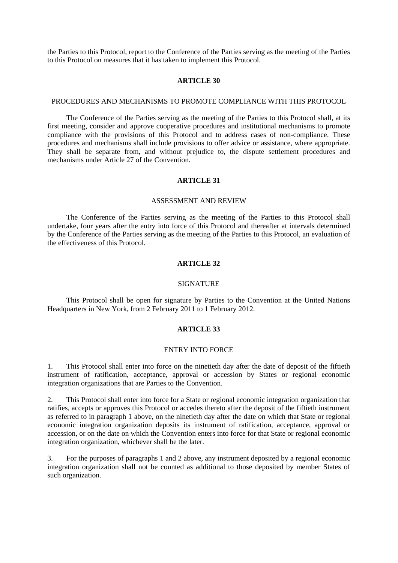the Parties to this Protocol, report to the Conference of the Parties serving as the meeting of the Parties to this Protocol on measures that it has taken to implement this Protocol.

#### **ARTICLE 30**

#### PROCEDURES AND MECHANISMS TO PROMOTE COMPLIANCE WITH THIS PROTOCOL

The Conference of the Parties serving as the meeting of the Parties to this Protocol shall, at its first meeting, consider and approve cooperative procedures and institutional mechanisms to promote compliance with the provisions of this Protocol and to address cases of non-compliance. These procedures and mechanisms shall include provisions to offer advice or assistance, where appropriate. They shall be separate from, and without prejudice to, the dispute settlement procedures and mechanisms under Article 27 of the Convention.

# **ARTICLE 31**

### ASSESSMENT AND REVIEW

The Conference of the Parties serving as the meeting of the Parties to this Protocol shall undertake, four years after the entry into force of this Protocol and thereafter at intervals determined by the Conference of the Parties serving as the meeting of the Parties to this Protocol, an evaluation of the effectiveness of this Protocol.

# **ARTICLE 32**

### **SIGNATURE**

This Protocol shall be open for signature by Parties to the Convention at the United Nations Headquarters in New York, from 2 February 2011 to 1 February 2012.

### **ARTICLE 33**

#### ENTRY INTO FORCE

1. This Protocol shall enter into force on the ninetieth day after the date of deposit of the fiftieth instrument of ratification, acceptance, approval or accession by States or regional economic integration organizations that are Parties to the Convention.

2. This Protocol shall enter into force for a State or regional economic integration organization that ratifies, accepts or approves this Protocol or accedes thereto after the deposit of the fiftieth instrument as referred to in paragraph 1 above, on the ninetieth day after the date on which that State or regional economic integration organization deposits its instrument of ratification, acceptance, approval or accession, or on the date on which the Convention enters into force for that State or regional economic integration organization, whichever shall be the later.

3. For the purposes of paragraphs 1 and 2 above, any instrument deposited by a regional economic integration organization shall not be counted as additional to those deposited by member States of such organization.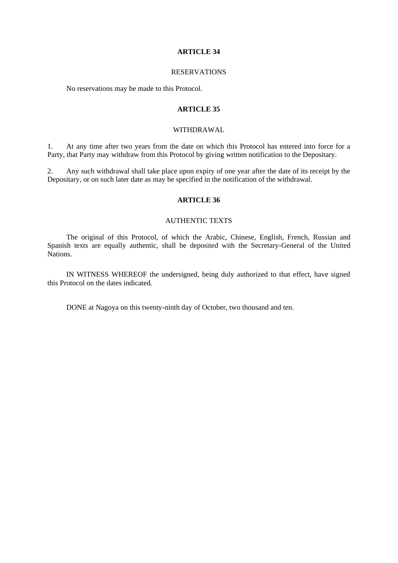# RESERVATIONS

No reservations may be made to this Protocol.

# **ARTICLE 35**

#### WITHDRAWAL

1. At any time after two years from the date on which this Protocol has entered into force for a Party, that Party may withdraw from this Protocol by giving written notification to the Depositary.

2. Any such withdrawal shall take place upon expiry of one year after the date of its receipt by the Depositary, or on such later date as may be specified in the notification of the withdrawal.

### **ARTICLE 36**

# AUTHENTIC TEXTS

The original of this Protocol, of which the Arabic, Chinese, English, French, Russian and Spanish texts are equally authentic, shall be deposited with the Secretary-General of the United Nations.

IN WITNESS WHEREOF the undersigned, being duly authorized to that effect, have signed this Protocol on the dates indicated.

DONE at Nagoya on this twenty-ninth day of October, two thousand and ten.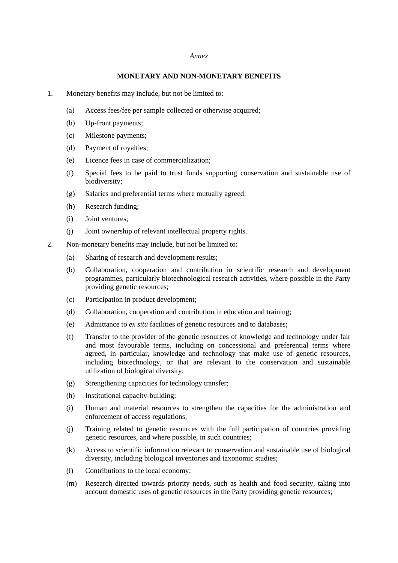#### *Annex*

### **MONETARY AND NON-MONETARY BENEFITS**

- 1. Monetary benefits may include, but not be limited to:
	- (a) Access fees/fee per sample collected or otherwise acquired;
	- (b) Up-front payments;
	- (c) Milestone payments;
	- (d) Payment of royalties;
	- (e) Licence fees in case of commercialization;
	- (f) Special fees to be paid to trust funds supporting conservation and sustainable use of biodiversity;
	- (g) Salaries and preferential terms where mutually agreed;
	- (h) Research funding;
	- (i) Joint ventures;
	- (j) Joint ownership of relevant intellectual property rights.
- 2. Non-monetary benefits may include, but not be limited to:
	- (a) Sharing of research and development results;
	- (b) Collaboration, cooperation and contribution in scientific research and development programmes, particularly biotechnological research activities, where possible in the Party providing genetic resources;
	- (c) Participation in product development;
	- (d) Collaboration, cooperation and contribution in education and training;
	- (e) Admittance to *ex situ* facilities of genetic resources and to databases;
	- (f) Transfer to the provider of the genetic resources of knowledge and technology under fair and most favourable terms, including on concessional and preferential terms where agreed, in particular, knowledge and technology that make use of genetic resources, including biotechnology, or that are relevant to the conservation and sustainable utilization of biological diversity;
	- (g) Strengthening capacities for technology transfer;
	- (h) Institutional capacity-building;
	- (i) Human and material resources to strengthen the capacities for the administration and enforcement of access regulations;
	- (j) Training related to genetic resources with the full participation of countries providing genetic resources, and where possible, in such countries;
	- (k) Access to scientific information relevant to conservation and sustainable use of biological diversity, including biological inventories and taxonomic studies;
	- (l) Contributions to the local economy;
	- (m) Research directed towards priority needs, such as health and food security, taking into account domestic uses of genetic resources in the Party providing genetic resources;